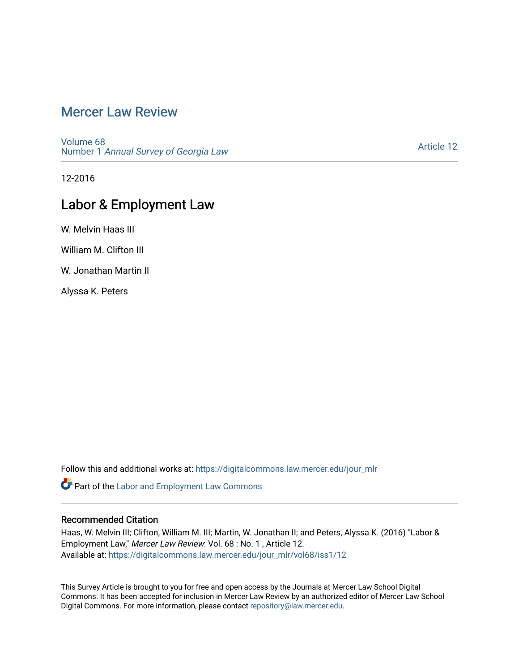# [Mercer Law Review](https://digitalcommons.law.mercer.edu/jour_mlr)

[Volume 68](https://digitalcommons.law.mercer.edu/jour_mlr/vol68) Number 1 [Annual Survey of Georgia Law](https://digitalcommons.law.mercer.edu/jour_mlr/vol68/iss1) 

[Article 12](https://digitalcommons.law.mercer.edu/jour_mlr/vol68/iss1/12) 

12-2016

## Labor & Employment Law

W. Melvin Haas III

William M. Clifton III

W. Jonathan Martin II

Alyssa K. Peters

Follow this and additional works at: [https://digitalcommons.law.mercer.edu/jour\\_mlr](https://digitalcommons.law.mercer.edu/jour_mlr?utm_source=digitalcommons.law.mercer.edu%2Fjour_mlr%2Fvol68%2Fiss1%2F12&utm_medium=PDF&utm_campaign=PDFCoverPages)

Part of the [Labor and Employment Law Commons](http://network.bepress.com/hgg/discipline/909?utm_source=digitalcommons.law.mercer.edu%2Fjour_mlr%2Fvol68%2Fiss1%2F12&utm_medium=PDF&utm_campaign=PDFCoverPages)

## Recommended Citation

Haas, W. Melvin III; Clifton, William M. III; Martin, W. Jonathan II; and Peters, Alyssa K. (2016) "Labor & Employment Law," Mercer Law Review: Vol. 68 : No. 1 , Article 12. Available at: [https://digitalcommons.law.mercer.edu/jour\\_mlr/vol68/iss1/12](https://digitalcommons.law.mercer.edu/jour_mlr/vol68/iss1/12?utm_source=digitalcommons.law.mercer.edu%2Fjour_mlr%2Fvol68%2Fiss1%2F12&utm_medium=PDF&utm_campaign=PDFCoverPages) 

This Survey Article is brought to you for free and open access by the Journals at Mercer Law School Digital Commons. It has been accepted for inclusion in Mercer Law Review by an authorized editor of Mercer Law School Digital Commons. For more information, please contact [repository@law.mercer.edu](mailto:repository@law.mercer.edu).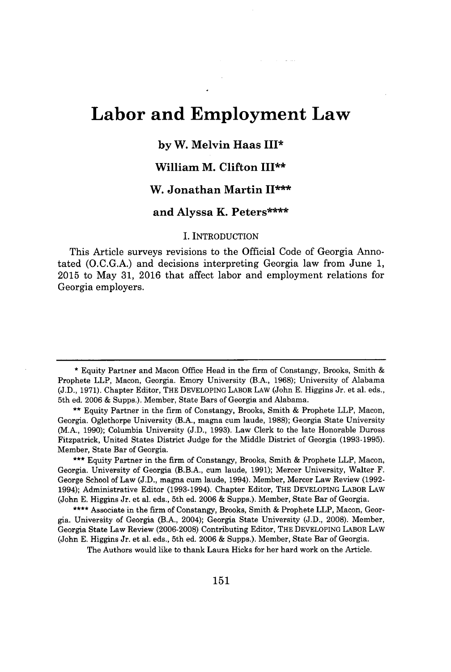# **Labor and Employment Law**

## **by W. Melvin Haas** III\*

## **William M. Clifton III\*\***

## **W. Jonathan Martin II\*\*\***

#### **and Alyssa K. Peters\*\*\*\***

#### I. INTRODUCTION

This Article surveys revisions to the Official Code of Georgia Annotated **(O.C.G.A.)** and decisions interpreting Georgia law from June **1, 2015** to May **31, 2016** that affect labor and employment relations for Georgia employers.

**\*\*\*** Equity Partner in the firm of Constangy, Brooks, Smith **&** Prophete LLP, Macon, Georgia. University of Georgia (B.B.A., cum laude, **1991);** Mercer University, Walter F. George School of Law **(J.D.,** magna cum laude, 1994). Member, Mercer Law Review **(1992-** 1994); Administrative Editor **(1993-1994).** Chapter Editor, THE DEVELOPING LABOR LAW (John **E.** Higgins Jr. et al. eds., 5th ed. **2006 &** Supps.). Member, State Bar of Georgia.

**\*\*\*\*** Associate in the firm of Constangy, Brooks, Smith **&** Prophete LLP, Macon, Georgia. University of Georgia (B.A., 2004); Georgia State University **(J.D., 2008).** Member, Georgia State Law Review **(2006-2008)** Contributing Editor, THE DEVELOPING LABOR LAW (John **E.** Higgins Jr. et al. eds., 5th ed. **2006 &** Supps.). Member, State Bar of Georgia.

The Authors would like to thank Laura Hicks for her hard work on the Article.

**<sup>\*</sup>** Equity Partner and Macon Office Head in the firm of Constangy, Brooks, Smith Prophete LLP, Macon, Georgia. Emory University (B.A., **1968);** University of Alabama **(J.D., 1971).** Chapter Editor, THE DEVELOPING LABOR LAW (John **E.** Higgins Jr. et al. eds., 5th ed. **2006 &** Supps.). Member, State Bars of Georgia and Alabama.

**<sup>\*\*</sup>** Equity Partner in the firm of Constangy, Brooks, Smith **&** Prophete LLP, Macon, Georgia. Oglethorpe University (B.A., magna cum laude, **1988);** Georgia State University (M.A., **1990);** Columbia University **(J.D., 1993).** Law Clerk to the late Honorable Duross Fitzpatrick, United States District Judge for the Middle District of Georgia **(1993-1995).** Member, State Bar of Georgia.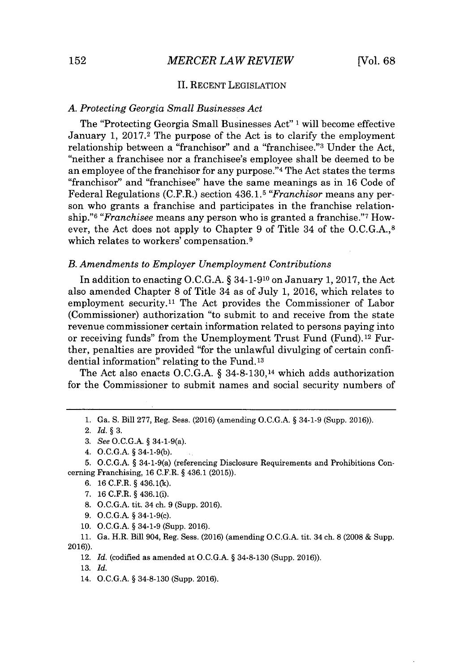#### **II. RECENT** LEGISLATION

#### *A. Protecting Georgia Small Businesses Act*

The "Protecting Georgia Small Businesses Act" **1** will become effective January **1, 2017.2** The purpose of the Act is to clarify the employment relationship between a "franchisor" and a "franchisee."<sup>3</sup> Under the Act, "neither a franchisee nor a franchisee's employee shall be deemed to be an employee of the franchisor for any purpose."<sup>4</sup>The Act states the terms "franchisor" and "franchisee" have the same meanings as in **16** Code of Federal Regulations (C.F.R.) section **436.1.5** *"Franchisor* means any person who grants a franchise and participates in the franchise relationship."<sup>6</sup>*"Franchisee* means any person who is granted a franchise."<sup>7</sup>However, the Act does not apply to Chapter **9** of Title 34 of the **O.C.G.A.,8** which relates to workers' compensation.<sup>9</sup>

#### *B. Amendments to Employer Unemployment Contributions*

In addition to enacting **O.C.G.A. §** 34-1-910 on January **1, 2017,** the Act also amended Chapter **8** of Title 34 as of July **1, 2016,** which relates to employment security.<sup>11</sup> The Act provides the Commissioner of Labor (Commissioner) authorization "to submit to and receive from the state revenue commissioner certain information related to persons paying into or receiving funds" from the Unemployment Trust Fund (Fund).12 Further, penalties are provided "for the unlawful divulging of certain confidential information" relating to the Fund. **<sup>13</sup>**

The Act also enacts **O.C.G.A. §** 34-8-130,14 which adds authorization for the Commissioner to submit names and social security numbers of

- **9. O.C.G.A.** *§* 34-1-9(c).
- 10. **O.C.G.A.** *§* 34-1-9 (Supp. **2016).**

**11.** Ga. H.R. Bill 904, Reg. Sess. **(2016)** (amending **O.C.G.A.** tit. 34 ch. **8 (2008 &** Supp. **2016)).**

12. *Id.* (codified as amended at **O.C.G.A.** *§* **34-8-130** (Supp. **2016)).**

**13.** *Id.*

14. **O.C.G.A.** *§* **34-8-130** (Supp. **2016).**

**<sup>1.</sup>** Ga. **S.** Bill **277,** Reg. Sess. **(2016)** (amending **O.C.G.A.** *§* 34-1-9 (Supp. **2016)).**

<sup>2.</sup> *Id. §* **3.**

*<sup>3.</sup> See* **O.C.G.A.** *§* 34-1-9(a).

<sup>4.</sup> **O.C.G.A.** *§* **34-1-9(b).**

**<sup>5.</sup> O.C.G.A.** *§* 34-1-9(a) (referencing Disclosure Requirements and Prohibitions Concerning Franchising, **16** C.F.R. *§* 436.1 **(2015)).**

**<sup>6. 16</sup>** C.F.R. *§* **436.1(k).**

**<sup>7. 16</sup>** C.F.R. *§* 436.1(i).

**<sup>8.</sup> O.C.G.A.** tit. 34 ch. **9** (Supp. **2016).**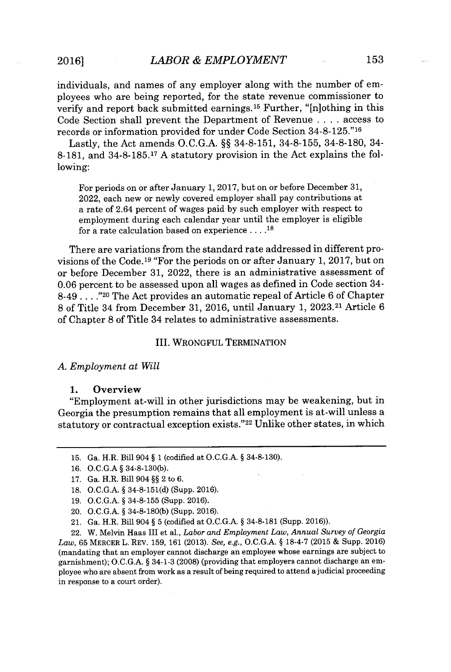individuals, and names of any employer along with the number of employees who are being reported, for the state revenue commissioner to verify and report back submitted earnings.<sup>15</sup> Further, " $[n]$ othing in this Code Section shall prevent the Department of Revenue **.** . . **.** access to records or information provided for under Code Section **34-8-125."16**

Lastly, the Act amends **O.C.G.A. §§ 34-8-151, 34-8-155, 34-8-180,** 34- **8-181,** and **34-8-185.17 A** statutory provision in the Act explains the following:

For periods on or after January **1, 2017,** but on or before December **31,** 2022, each new or newly covered employer shall pay contributions at a rate of 2.64 percent of wages paid **by** such employer with respect to employment during each calendar year until the employer is eligible for a rate calculation based on experience **... .18**

There are variations from the standard rate addressed in different provisions of the Code.<sup>19</sup> "For the periods on or after January 1, 2017, but on or before December **31,** 2022, there is an administrative assessment of **0.06** percent to be assessed upon all wages as defined in Code section 34- 8-49 **.. . .**."20 The Act provides an automatic repeal of Article **6** of Chapter **8** of Title 34 from December **31, 2016,** until January **1, 2023.21** Article **6** of Chapter **8** of Title 34 relates to administrative assessments.

#### III. WRONGFUL TERMINATION

#### *A. Employment at Will*

#### **1.** Overview

"Employment at-will in other jurisdictions may be weakening, but in Georgia the presumption remains that all employment is at-will unless a statutory or contractual exception exists."<sup>22</sup> Unlike other states, in which

- **15.** Ga. H.R. Bill 904 **§ 1** (codified at **O.C.G.A. § 34-8-130).**
- **16. O.C.G.A § 34-8-130(b).**

- **18. O.C.G.A. § 34-8-151(d)** (Supp. **2016).**
- **19. O.C.G.A. § 34-8-155** (Supp. **2016).**
- 20. **O.C.G.A. § 34-8-180(b)** (Supp. **2016).**
- 21. Ga. H.R. Bill 904 **§ 5** (codified at **O.C.G.A. § 34-8-181** (Supp. **2016)).**

22. W. Melvin Haas III et al., *Labor and Employment Law, Annual Survey of Georgia Law,* **65** MERCER L. REV. **159, 161 (2013).** *See, e.g.,* **O.C.G.A. § 18-4-7 (2015 &** Supp. **2016)** (mandating that an employer cannot discharge an employee whose earnings are subject to garnishment); **O.C.G.A. §** 34-1-3 **(2008)** (providing that employers cannot discharge an employee who are absent from work as a result of being required to attend a judicial proceeding in response to a court order).

**<sup>17.</sup>** Ga. H.R. Bill 904 **§§** 2 to **6.**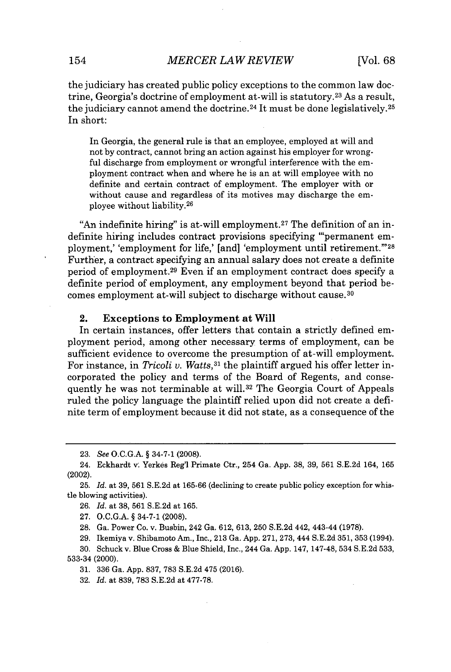the judiciary has created public policy exceptions to the common law doctrine, Georgia's doctrine of employment at-will is statutory.<sup>23</sup>As a result, the judiciary cannot amend the doctrine.<sup>24</sup> It must be done legislatively.<sup>25</sup> In short:

In Georgia, the general rule is that an employee, employed at will and not **by** contract, cannot bring an action against his employer for wrongful discharge from employment or wrongful interference with the employment contract when and where he is an at will employee with no definite and certain contract of employment. The employer with or without cause and regardless of its motives may discharge the employee without liability.<sup>26</sup>

"An indefinite hiring" is at-will employment.<sup>27</sup> The definition of an indefinite hiring includes contract provisions specifying "'permanent employment,' 'employment for life,' [and] 'employment until retirement."'28 Further, a contract specifying an annual salary does not create a definite period of employment.<sup>29</sup> Even if an employment contract does specify a definite period of employment, any employment beyond that period becomes employment at-will subject to discharge without cause. <sup>30</sup>

#### 2. Exceptions to Employment at Will

In certain instances, offer letters that contain a strictly defined employment period, among other necessary terms of employment, can be sufficient evidence to overcome the presumption of at-will employment. For instance, in *Tricoli v. Watts*,<sup>31</sup> the plaintiff argued his offer letter incorporated the policy and terms of the Board of Regents, and consequently he was not terminable at will.<sup>32</sup> The Georgia Court of Appeals ruled the policy language the plaintiff relied upon did not create a definite term of employment because it did not state, as a consequence of the

- **27. O.C.G.A. §** 34-7-1 **(2008).**
- **28.** Ga. Power Co. v. Busbin, 242 Ga. **612, 613, 250 S.E.2d** 442, 443-44 **(1978).**
- **29.** Ikemiya v. Shibamoto Am., Inc., **213** Ga. **App. 271, 273,** 444 **S.E.2d 351, 353** (1994).

**32.** *Id.* at **839, 783 S.E.2d** at **477-78.**

 $\ddot{\phantom{0}}$ 

**<sup>23.</sup>** *See* **O.C.G.A. §** 34-7-1 **(2008).**

<sup>24.</sup> Eckhardt v. Yerkes Reg'l Primate Ctr., 254 Ga. **App. 38, 39, 561 S.E.2d** 164, **165** (2002).

**<sup>25.</sup>** *Id.* at **39, 561 S.E.2d** at **165-66** (declining to create public policy exception for whistle blowing activities).

**<sup>26.</sup>** *Id.* at **38, 561 S.E.2d** at **165.**

**<sup>30.</sup>** Schuck v. Blue Cross **&** Blue Shield, Inc., 244 Ga. App. **147, 147-48, 534 S.E.2d 533, 533-34** (2000).

**<sup>31. 336</sup>** Ga. **App. 837, 783 S.E.2d** 475 **(2016).**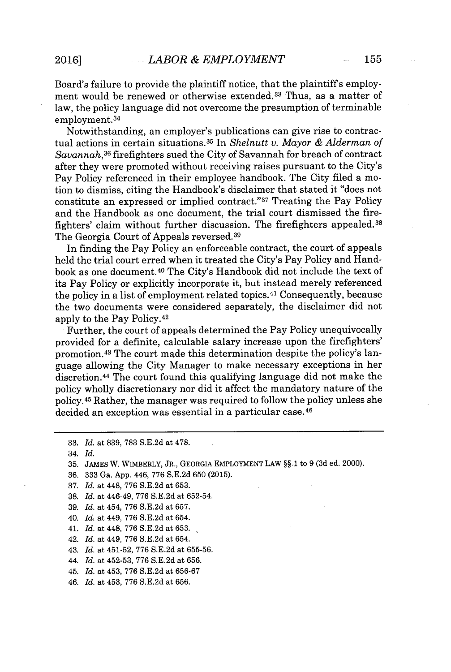Board's failure to provide the plaintiff notice, that the plaintiffs employment would be renewed or otherwise extended.<sup>33</sup> Thus, as a matter of law, the policy language did not overcome the presumption of terminable employment. <sup>34</sup>

Notwithstanding, an employer's publications can give rise to contractual actions in certain situations. <sup>35</sup>In *Shelnutt v. Mayor & Alderman of Savannah,<sup>36</sup>*firefighters sued the City of Savannah for breach of contract after they were promoted without receiving raises pursuant to the City's Pay Policy referenced in their employee handbook. The City filed a motion to dismiss, citing the Handbook's disclaimer that stated it "does not constitute an expressed or implied contract." $37$  Treating the Pay Policy and the Handbook as one document, the trial court dismissed the firefighters' claim without further discussion. The firefighters appealed.<sup>38</sup> The Georgia Court of Appeals reversed.<sup>39</sup>

In finding the Pay Policy an enforceable contract, the court of appeals held the trial court erred when it treated the City's Pay Policy and Handbook as one document.<sup>40</sup> The City's Handbook did not include the text of its Pay Policy or explicitly incorporate it, but instead merely referenced the policy in a list of employment related topics.<sup>41</sup> Consequently, because the two documents were considered separately, the disclaimer did not apply to the Pay **Policy. <sup>42</sup>**

Further, the court of appeals determined the Pay Policy unequivocally provided for a definite, calculable salary increase upon the firefighters' promotion.<sup>43</sup> The court made this determination despite the policy's language allowing the City Manager to make necessary exceptions in her discretion. <sup>44</sup>The court found this qualifying language did not make the policy wholly discretionary nor did it affect the mandatory nature of the **policy. <sup>45</sup>**Rather, the manager was required to follow the policy unless she decided an exception was essential in a particular case. <sup>46</sup>

- **36. 333** Ga. **App.** 446, **776 S.E.2d 650 (2015).**
- **37.** *Id.* at 448, **776 S.E.2d** at **653.**
- **38.** *Id.* at 446-49, **776 S.E.2d** at **652-54.**
- **39.** *Id.* at 454, **776 S.E.2d** at **657.**
- 40. *Id.* at 449, **776 S.E.2d** at 654.
- 41. *Id.* at 448, **776 S.E.2d** at **653.**
- 42. *Id.* at 449, **776 S.E.2d** at 654.
- 43. *Id.* at 451-52, **776 S.E.2d** at **655-56.**
- 44. *Id.* at **452-53, 776 S.E.2d** at **656.**
- 45. *Id.* at 453, **776 S.E.2d** at **656-67**
- 46. *Id.* at 453, **776 S.E.2d** at **656.**

**<sup>33.</sup>** *Id.* at **839, 783 S.E.2d** at **478.**

**<sup>34.</sup>** *Id.*

**<sup>35.</sup> JAMES** W. **WIMBERLY, JR., GEORGIA EMPLOYMENT LAW §§.1** to **9 (3d** ed. 2000).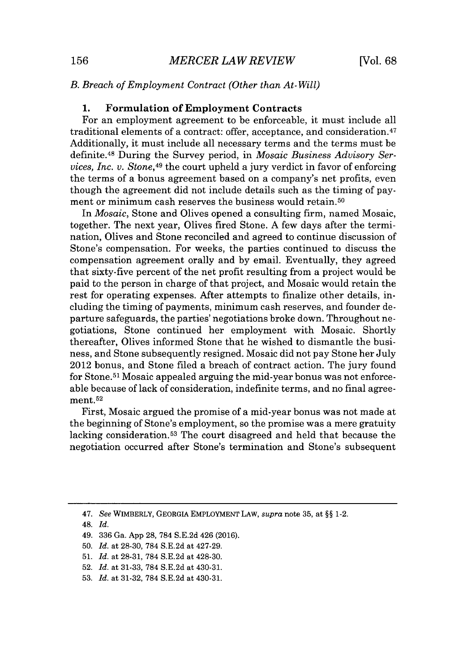#### *B. Breach of Employment Contract (Other than At-Will)*

#### **1.** Formulation of Employment Contracts

For an employment agreement *to be* enforceable, it must include all traditional elements of a contract: offer, acceptance, and consideration. <sup>47</sup> Additionally, it must include all necessary terms and the terms must be definite." During the Survey period, in *Mosaic Business Advisory Services, Inc. v. Stone,4<sup>9</sup>*the court upheld a jury verdict in favor of enforcing the terms of a bonus agreement based on a company's net profits, even though the agreement did not include details such as the timing of payment or minimum cash reserves the business would retain.<sup>50</sup>

In *Mosaic,* Stone and Olives opened a consulting firm, named Mosaic, together. The next year, Olives fired Stone. **A** few days after the termination, Olives and Stone reconciled and agreed to continue discussion of Stone's compensation. For weeks, the parties continued to discuss the compensation agreement orally and **by** email. Eventually, they agreed that sixty-five percent of the net profit resulting from a project would be paid to the person in charge of that project, and Mosaic would retain the rest for operating expenses. After attempts to finalize other details, including the timing of payments, minimum cash reserves, and founder departure safeguards, the parties' negotiations broke down. Throughout negotiations, Stone continued her employment with Mosaic. Shortly thereafter, Olives informed Stone that he wished to dismantle the business, and Stone subsequently resigned. Mosaic did not pay Stone her July 2012 bonus, and Stone filed a breach of contract action. The jury found for Stone.<sup>51</sup> Mosaic appealed arguing the mid-year bonus was not enforceable because of lack of consideration, indefinite terms, and no final agreement.<sup>52</sup>

First, Mosaic argued the promise of a mid-year bonus was not made at the beginning of Stone's employment, so the promise was a mere gratuity lacking consideration.<sup>53</sup> The court disagreed and held that because the negotiation occurred after Stone's termination and Stone's subsequent

*<sup>47.</sup> See* WIMBERLY, GEORGIA EMPLOYMENT LAW, *supra* note **35,** at *§§* 1-2.

<sup>48.</sup> *Id.*

<sup>49.</sup> **336** Ga. **App 28, 784 S.E.2d** 426 **(2016).**

**<sup>50.</sup>** *Id.* at **28-30, 784 S.E.2d** at 427-29.

**<sup>51.</sup>** *Id.* at **28-31, 784 S.E.2d** at 428-30.

**<sup>52.</sup>** *Id.* at **31-33, 784 S.E.2d** at 430-31.

**<sup>53.</sup>** *Id.* at **31-32, 784 S.E.2d** at 430-31.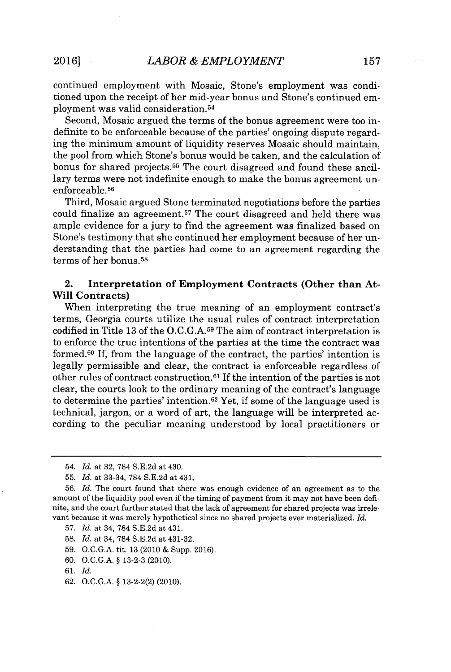continued employment with Mosaic, Stone's employment was conditioned upon the receipt of her mid-year bonus and Stone's continued employment was valid consideration. <sup>5</sup><sup>4</sup>

Second, Mosaic argued the terms of the bonus agreement were too indefinite to be enforceable because of the parties' ongoing dispute regarding the minimum amount of liquidity reserves Mosaic should maintain, the pool from which Stone's bonus would be taken, and the calculation of bonus for shared projects.<sup>55</sup> The court disagreed and found these ancillary terms were not indefinite enough to make the bonus agreement unenforceable.<sup>56</sup>

Third, Mosaic argued Stone terminated negotiations before the parties could finalize an agreement.<sup>57</sup> The court disagreed and held there was ample evidence for a jury to find the agreement was finalized based on Stone's testimony that she continued her employment because of her understanding that the parties had come to an agreement regarding the terms of her bonus.<sup>58</sup>

## 2. Interpretation of Employment Contracts (Other than At-Will Contracts)

When interpreting the true meaning of an employment contract's terms, Georgia courts utilize the usual rules of contract interpretation codified in Title **13** of the **O.C.G.A.59** The aim of contract interpretation is to enforce the true intentions of the parties at the time the contract was formed. $60$  If, from the language of the contract, the parties' intention is legally permissible and clear, the contract is enforceable regardless of other rules of contract construction.<sup>61</sup> If the intention of the parties is not clear, the courts look to the ordinary meaning of the contract's language to determine the parties' intention.<sup>62</sup>Yet, if some of the language used is technical, jargon, or a word of art, the language will be interpreted according to the peculiar meaning understood **by** local practitioners or

**58.** *Id.* at 34, **784 S.E.2d** at 431-32.

**59. O.C.G.A.** tit. **13** (2010 **&** Supp. **2016).**

**60. O.C.G.A. § 13-2-3** (2010).

**62. O.C.G.A. § 13-2-2(2)** (2010).

<sup>54.</sup> *Id.* at **32, 784 S.E.2d** at 430.

**<sup>55.</sup>** *Id.* at 33-34, **784 S.E.2d** at 431.

*<sup>56.</sup> Id.* The court found that there was enough evidence of an agreement as to the amount of the liquidity pool even if the timing of payment from it may not have been definite, and the court further stated that the lack of agreement for shared projects was irrelevant because it was merely hypothetical since no shared projects ever materialized. *Id.*

**<sup>57.</sup>** *Id.* at 34, **784 S.E.2d** at 431.

**<sup>61.</sup>** *Id.*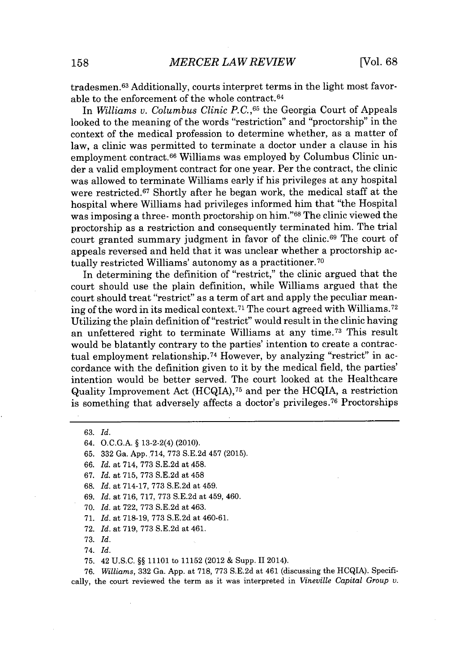tradesmen.<sup>63</sup> Additionally, courts interpret terms in the light most favorable to the enforcement of the whole contract. <sup>64</sup>

In *Williams v. Columbus Clinic P.C.,65* the Georgia Court of Appeals looked to the meaning of the words "restriction" and "proctorship" in the context of the medical profession to determine whether, as a matter of law, a clinic was permitted to terminate a doctor under a clause in his employment contract.<sup>66</sup>Williams was employed **by** Columbus Clinic under a valid employment contract for one year. Per the contract, the clinic was allowed to terminate Williams early if his privileges at any hospital were restricted.<sup>67</sup> Shortly after he began work, the medical staff at the hospital where Williams had privileges informed him that "the Hospital was imposing a three- month proctorship on him."<sup>68</sup> The clinic viewed the proctorship as a restriction and consequently terminated him. The trial court granted summary judgment in favor of the clinic.<sup>69</sup> The court of appeals reversed and held that it was unclear whether a proctorship actually restricted Williams' autonomy as a practitioner. <sup>70</sup>

In determining the definition of "restrict," the clinic argued that the court should use the plain definition, while Williams argued that the court should treat "restrict" as a term of art and apply the peculiar meaning of the word in its medical context.<sup>71</sup> The court agreed with Williams.<sup>72</sup> Utilizing the plain definition of "restrict" would result in the clinic having an unfettered right to terminate Williams at any time.<sup>73</sup> This result would be blatantly contrary to the parties' intention to create a contractual employment relationship.<sup>74</sup> However, by analyzing "restrict" in accordance with the definition given to it **by** the medical field, the parties' intention would be better served. The court looked at the Healthcare Quality Improvement Act (HCQIA), <sup>75</sup>and per the HCQIA, a restriction is something that adversely affects a doctor's privileges.<sup>76</sup> Proctorships

**63.** *Id.*

64. **O.C.G.A. §** 13-2-2(4) (2010).

**65. 332** Ga. **App..714, 773 S.E.2d** 457 **(2015).**

**66.** *Id.* at 714, **773 S.E.2d** at 458.

**67.** *Id.* at **715, 773 S.E.2d** at 458

**68.** *Id.* at **714-17, 773 S.E.2d** at 459.

**69.** *Id.* at **716, 717, 773 S.E.2d** at 459, 460.

**70.** *Id.* at **722, 773 S.E.2d** at 463.

**71.** *Id.* at **718-19, 773 S.E.2d** at 460-61.

**72.** *Id.* at **719, 773 S.E.2d** at 461.

**73.** *Id.*

74. *Id.*

**75.** 42 **U.S.C. §§ 11101** to **11152** (2012 **&** Supp. 112014).

**76.** *Williams,* **332** Ga. **App.** at **718, 773 S.E.2d** at 461 (discussing the HCQIA). Specifically, the court reviewed the term as it was interpreted in *Vineville Capital Group v.*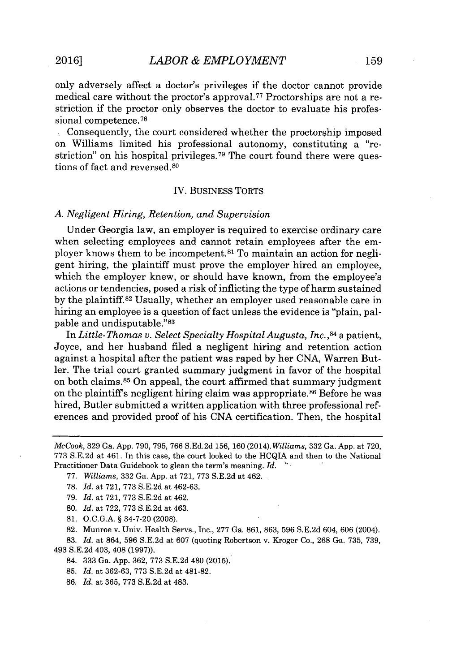only adversely affect a doctor's privileges if the doctor cannot provide medical care without the proctor's approval.77 Proctorships are not a restriction if the proctor only observes the doctor to evaluate his professional competence.<sup>78</sup>

Consequently, the court considered whether the proctorship imposed on Williams limited his professional autonomy, constituting a "restriction" on his hospital privileges.<sup>79</sup> The court found there were questions of fact and reversed.<sup>80</sup>

#### IV. BUSINESS TORTS

#### *A. Negligent Hiring, Retention, and Supervision*

Under Georgia law, an employer is required to exercise ordinary care when selecting employees and cannot retain employees after the employer knows them to be incompetent.<sup>81</sup> To maintain an action for negligent hiring, the plaintiff must prove the employer hired an employee, which the employer knew, or should have known, from the employee's actions or tendencies, posed a risk of inflicting the type of harm sustained **by** the plaintiff.<sup>82</sup>Usually, whether an employer used reasonable care in hiring an employee is a question of fact unless the evidence is "plain, palpable and undisputable."83

*In Little-Thomas v. Select Specialty Hospital Augusta, Inc.,<sup>84</sup>*a patient, Joyce, and her husband filed a negligent hiring and retention action against a hospital after the patient was raped **by** her **CNA,** Warren Butler. The trial court granted summary judgment in favor of the hospital on both claims. $85$  On appeal, the court affirmed that summary judgment on the plaintiff's negligent hiring claim was appropriate.<sup>86</sup> Before he was hired, Butler submitted a written application with three professional references and provided proof of his **CNA** certification. Then, the hospital

**78.** *Id.* at **721, 773 S.E.2d** at **462-63.**

**79.** *Id.* at **721, 773 S.E.2d** at 462.

**80.** *Id.* at **722, 773 S.E.2d** at 463.

**81. O.C.G.A. §** 34-7-20 **(2008).**

**82.** Munroe v. Univ. Health Servs., Inc., **277** Ga. **861, 863, 596 S.E.2d** 604, **606** (2004).

**83.** *Id.* at 864, **596 S.E.2d** at **607** (quoting Robertson v. Kroger Co., **268** Ga. **735, 739,** 493 **S.E.2d** 403, 408 **(1997)).**

84. **333** Ga. **App. 362, 773 S.E.2d** 480 **(2015).**

**85.** *Id.* at **362-63, 773 S.E.2d** at **481-82.**

**86.** *Id.* at **365, 773 S.E.2d** at 483.

*McCook,* **329** Ga. **App. 790, 795, 766 S.Ed.2d 156, 160** (2014). *Williams,* **332** Ga. **App.** at **720, 773 S.E.2d** at 461. In this case, the court looked to the HCQIA and then to the National Practitioner Data Guidebook to glean the term's meaning. *Id.*

**<sup>77.</sup>** *Williams,* **332** Ga. **App.** at **721, 773 S.E.2d** at 462.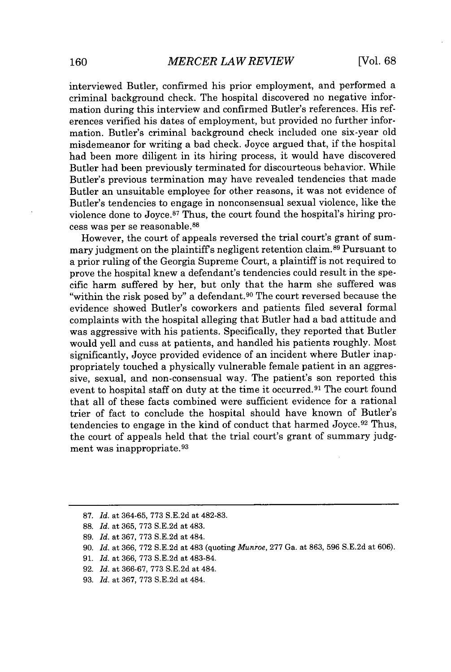interviewed Butler, confirmed his prior employment, and performed a criminal background check. The hospital discovered no negative information during this interview and confirmed Butler's references. His references verified his dates of employment, but provided no further information. Butler's criminal background check included one six-year old misdemeanor for writing a bad check. Joyce argued that, if the hospital had been more diligent in its hiring process, it would have discovered Butler had been previously terminated for discourteous behavior. While Butler's previous termination may have revealed tendencies that made Butler an unsuitable employee for other reasons, it was not evidence of Butler's tendencies to engage in nonconsensual sexual violence, like the violence done to Joyce. $87$  Thus, the court found the hospital's hiring process was per se reasonable.<sup>88</sup>

However, the court of appeals reversed the trial court's grant of summary judgment on the plaintiff's negligent retention claim.<sup>89</sup> Pursuant to a prior ruling of the Georgia Supreme Court, a plaintiff is not required to prove the hospital knew a defendant's tendencies could result in the specific harm suffered **by** her, but only that the harm she suffered was "within the risk posed by" a defendant.<sup>90</sup> The court reversed because the evidence showed Butler's coworkers and patients filed several formal complaints with the hospital alleging that Butler had a bad attitude and was aggressive with his patients. Specifically, they reported that Butler would yell and cuss at patients, and handled his patients roughly. Most significantly, Joyce provided evidence of an incident where Butler inappropriately touched a physically vulnerable female patient in an aggressive, sexual, and non-consensual way. The patient's son reported this event to hospital staff on duty at the time it occurred.<sup>91</sup> The court found that all of these facts combined were sufficient evidence for a rational trier of fact to conclude the hospital should have known of Butler's tendencies to engage in the kind of conduct that harmed Joyce.<sup>92</sup> Thus, the court of appeals held that the trial court's grant of summary **judg**ment was inappropriate.<sup>93</sup>

**<sup>87.</sup>** *Id.* at **364-65, 773 S.E.2d** at **482-83.**

**<sup>88.</sup>** *Id.* at **365, 773 S.E.2d** at 483.

**<sup>89.</sup>** *Id.* at **367, 773 S.E.2d** at 484.

**<sup>90.</sup>** *Id.* at **366, 772 S.E.2d** at 483 (quoting *Munroe,* **277** Ga. at **863, 596 S.E.2d** at **606).**

**<sup>91.</sup>** *Id.* at **366, 773 S.E.2d** at 483-84.

**<sup>92.</sup>** *Id.* at **366-67, 773 S.E.2d** at 484.

**<sup>93.</sup>** *Id.* at **367, 773 S.E.2d** at 484.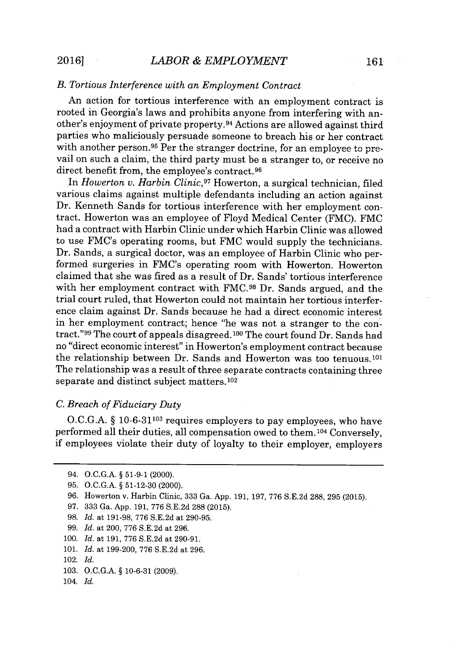## *B. Tortious Interference with an Employment Contract*

An action for tortious interference with an employment contract is rooted in Georgia's laws and prohibits anyone from interfering with another's enjoyment of private property.<sup>94</sup> Actions are allowed against third parties who maliciously persuade someone to breach his or her contract with another person.<sup>95</sup> Per the stranger doctrine, for an employee to prevail on such a claim, the third party must be a stranger to, or receive no direct benefit from, the employee's contract.<sup>96</sup>

In *Howerton v. Harbin Clinic,<sup>97</sup>*Howerton, a surgical technician, filed various claims against multiple defendants including an action against Dr. Kenneth Sands for tortious interference with her employment contract. Howerton was an employee of Floyd Medical Center (FMC). FMC had a contract with Harbin Clinic under which Harbin Clinic was allowed to use FMC's operating rooms, but FMC would supply the technicians. Dr. Sands, a surgical doctor, was an employee of Harbin Clinic who performed surgeries in FMC's operating room with Howerton. Howerton claimed that she was fired as a result of Dr. Sands' tortious interference with her employment contract with **FMC.98** Dr. Sands argued, and the trial court ruled, that Howerton could not maintain her tortious interference claim against Dr. Sands because he had a direct economic interest in her employment contract; hence "he was not a stranger to the contract."<sup>99</sup> The court of appeals disagreed.<sup>100</sup> The court found Dr. Sands had no "direct economic interest" in Howerton's employment contract because the relationship between Dr. Sands and Howerton was too tenuous.<sup>101</sup> The relationship was a result of three separate contracts containing three separate and distinct subject matters. 102

#### *C. Breach of Fiduciary Duty*

**O.C.G.A. § 10-6-31103** requires employers to pay employees, who have performed all their duties, all compensation owed to them. 104 Conversely, if employees violate their duty of loyalty to their employer, employers

- **98.** *Id.* at **191-98, 776 S.E.2d** at **290-95.**
- *99. Id.* at 200, **776 S.E.2d** at **296.**
- **100.** *Id.* at **191, 776 S.E.2d** at **290-91.**
- **101.** *Id.* at **199-200, 776 S.E.2d** at **296.**

- **103. O.C.G.A.** *§* **10-6-31 (2009).**
- 104. *Id.*

<sup>94.</sup> **O.C.G.A.** *§* **51-9-1** (2000).

**<sup>95.</sup> O.C.G.A.** *§* **51-12-30** (2000).

**<sup>96.</sup>** Howerton v. Harbin Clinic, **333** Ga. **App. 191, 197, 776 S.E.2d 288, 295 (2015).**

**<sup>97. 333</sup>** Ga. **App. 191, 776 S.E.2d 288 (2015).**

<sup>102.</sup> *Id.*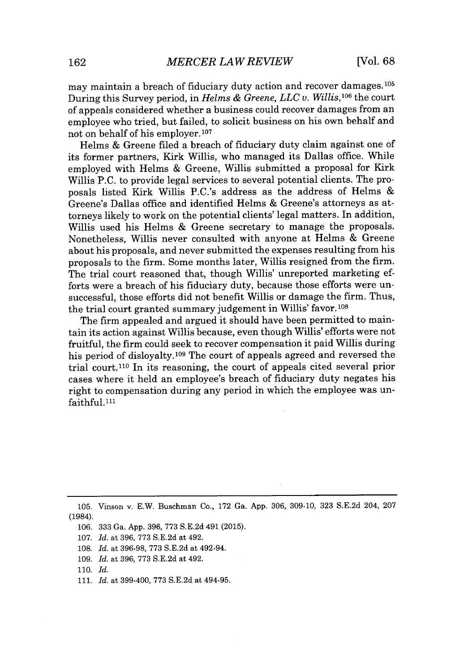may maintain a breach of fiduciary duty action and recover damages.<sup>105</sup> During this Survey period, in *Helms & Greene, LLC v.* Willis,<sup>106</sup>the court of appeals considered whether a business could recover damages from an employee who tried, but failed, to solicit business on his own behalf and not on behalf of his employer.107

Helms **&** Greene filed a breach of fiduciary duty claim against one of its former partners, Kirk Willis, who managed its Dallas office. While employed with Helms **&** Greene, Willis submitted a proposal for Kirk Willis **P.C.** to provide legal services to several potential clients. The proposals listed Kirk Willis P.C.'s address as the address of Helms Greene's Dallas office and identified Helms **&** Greene's attorneys as attorneys likely to work on the potential clients' legal matters. In addition, Willis used his Helms **&** Greene secretary to manage the proposals. Nonetheless, Willis never consulted with anyone at Helms **&** Greene about his proposals, and never submitted the expenses resulting from his proposals to the firm. Some months later, Willis resigned from the firm. The trial court reasoned that, though Willis' unreported marketing efforts were a breach of his fiduciary duty, because those efforts were unsuccessful, those efforts did not benefit Willis or damage the firm. Thus, the trial court granted summary judgement in Willis' favor. **<sup>108</sup>**

The firm appealed and argued it should have been permitted to maintain its action against Willis because, even though Willis' efforts were not fruitful, the firm could seek to recover compensation it paid Willis during his period of disloyalty.109 The court of appeals agreed and reversed the trial court.<sup>110</sup> In its reasoning, the court of appeals cited several prior cases where it held an employee's breach of fiduciary duty negates his right to compensation during any period in which the employee was unfaithful.<sup>111</sup>

**111.** *Id.* at 399-400, **773 S.E.2d** at 494-95.

**<sup>105.</sup>** Vinson v. E.W. Buschman Co., **172** Ga. **App. 306, 309-10, 323 S.E.2d** 204, **207** (1984).

**<sup>106. 333</sup>** Ga. **App. 396, 773 S.E.2d** 491 **(2015).**

**<sup>107.</sup>** *Id.* at **396, 773 S.E.2d** at 492.

**<sup>108.</sup>** *Id.* at **396-98, 773 S.E.2d** at 492-94.

**<sup>109.</sup>** *Id.* at **396, 773 S.E.2d** at 492.

**<sup>110.</sup>** *Id.*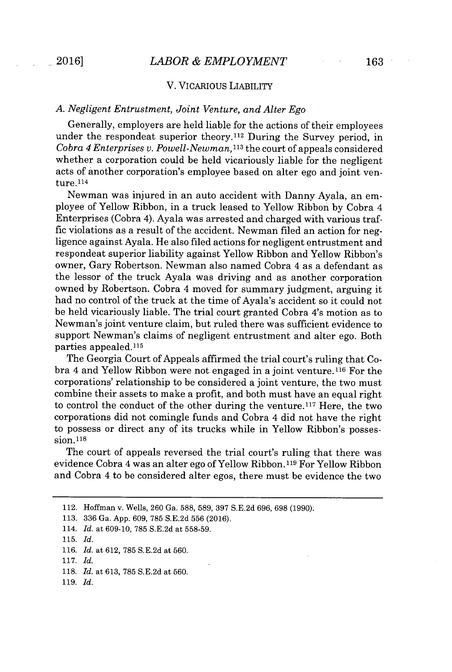#### V. VICARIOUs LIABILITY

## *A. Negligent Entrustment, Joint Venture, and Alter Ego*

Generally, employers are held liable for the actions of their employees under the respondeat superior theory.<sup>112</sup> During the Survey period, in *Cobra 4 Enterprises v. Powell-Newman,<sup>113</sup>*the court of appeals considered whether a corporation could be held vicariously liable for the negligent acts of another corporation's employee based on alter ego and joint venture. <sup>114</sup>

Newman was injured in an auto accident with Danny Ayala, an employee of Yellow Ribbon, in a truck leased to Yellow Ribbon **by** Cobra 4 Enterprises (Cobra 4). Ayala was arrested and charged with various traffic violations as a result of the accident. Newman filed an action for negligence against Ayala. He also filed actions for negligent entrustment and respondeat superior liability against Yellow Ribbon and Yellow Ribbon's owner, Gary Robertson. Newman also named Cobra 4 as a defendant as the lessor of the truck Ayala was driving and as another corporation owned **by** Robertson. Cobra 4 moved for summary judgment, arguing it had no control of the truck at the time of Ayala's accident so it could not be held vicariously liable. The trial court granted Cobra 4's motion as to Newman's joint venture claim, but ruled there was sufficient evidence to support Newman's claims of negligent entrustment and alter ego. Both parties appealed.<sup>115</sup>

The Georgia Court of Appeals affirmed the trial court's ruling that Cobra 4 and Yellow Ribbon were not engaged in a joint venture. **116** For the corporations' relationship to be considered a joint venture, the two must combine their assets to make a profit, and both must have an equal right to control the conduct of the other during the venture.<sup>117</sup> Here, the two corporations did not comingle funds and Cobra 4 did not have the right to possess or direct any of its trucks while in Yellow Ribbon's possession. <sup>11</sup>8

The court of appeals reversed the trial court's ruling that there was evidence Cobra 4 was an alter ego of Yellow Ribbon. <sup>119</sup>For Yellow Ribbon and Cobra 4 to be considered alter egos, there must be evidence the two

- **113. 336** Ga. **App. 609, 785 S.E.2d 556 (2016).**
- 114. *Id.* at **609-10, 785 S.E.2d** at **558-59.**
- **115.** *Id.*

- **118.** *Id.* at **613, 785 S.E.2d** at **560.**
- **119.** *Id.*

<sup>112.</sup> Hoffman v. Wells, **260** Ga. **588, 589, 397 S.E.2d 696, 698 (1990).**

**<sup>116.</sup>** *Id.* at **612, 785 S.E.2d** at **560.**

**<sup>117.</sup>** *Id.*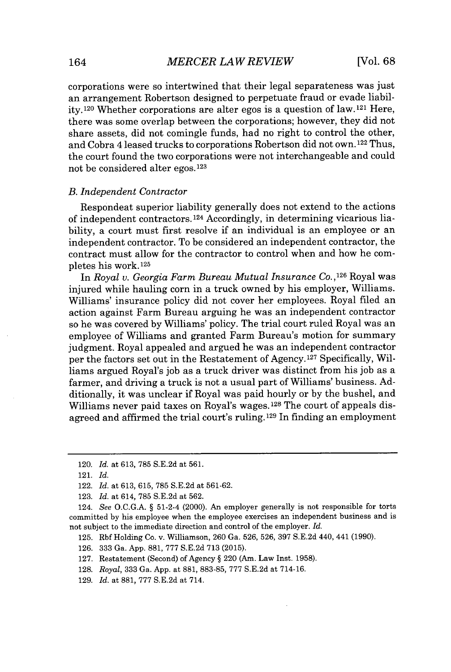corporations were so intertwined that their legal separateness was just an arrangement Robertson designed to perpetuate fraud or evade liability.<sup>120</sup> Whether corporations are alter egos is a question of law.<sup>121</sup> Here, there was some overlap between the corporations; however, they did not share assets, did not comingle funds, had no right to control the other, and Cobra 4 leased trucks to corporations Robertson did not own. 122 Thus, the court found the two corporations were not interchangeable and could not be considered alter egos. 123

#### *B. Independent Contractor*

Respondeat superior liability generally does not extend to the actions of independent contractors.<sup>124</sup> Accordingly, in determining vicarious liability, a court must first resolve if an individual is an employee or an independent contractor. To be considered an independent contractor, the contract must allow for the contractor to control when and how he completes his work. <sup>125</sup>

In *Royal v. Georgia Farm Bureau Mutual Insurance* **Co., <sup>1</sup><sup>26</sup>**Royal was injured while hauling corn in a truck owned **by** his employer, Williams. Williams' insurance policy did not cover her employees. Royal filed an action against Farm Bureau arguing he was an independent contractor so he was covered **by** Williams' policy. The trial court ruled Royal was an employee of Williams and granted Farm Bureau's motion for summary judgment. Royal appealed and argued he was an independent contractor per the factors set out in the Restatement of Agency.<sup>127</sup> Specifically, Williams argued Royal's **job** as a truck driver was distinct from his **job** as a farmer, and driving a truck is not a usual part of Williams' business. **Ad**ditionally, it was unclear if Royal was paid hourly or **by** the bushel, and Williams never paid taxes on Royal's wages. 128 The court of appeals disagreed and affirmed the trial court's ruling. 129 In finding an employment

**121.** *Id.*

<sup>120.</sup> *Id. at* **613, 785 S.E.2d** at **561.**

<sup>122.</sup> *Id. at* **613, 615, 785 S.E.2d** at **561-62.**

**<sup>123.</sup>** *Id. at* 614, **785 S.E.2d** at **562.**

<sup>124.</sup> *See* **O.C.G.A.** *§* 51-2-4 (2000). An employer generally is not responsible for torts committed **by** his employee when the employee exercises an independent business and is not subject to the immediate direction and control of the employer. *Id.*

**<sup>125.</sup>** Rbf Holding Co. v. Williamson, **260** Ga. **526, 526, 397 S.E.2d** 440, 441 **(1990).**

**<sup>126. 333</sup>** Ga. **App. 881, 777 S.E.2d 713 (2015).**

**<sup>127.</sup>** Restatement (Second) of Agency *§* 220 (Am. Law Inst. **1958).**

**<sup>128.</sup>** *Royal,* **333** Ga. **App.** at **881, 883-85, 777 S.E.2d** at 714-16.

**<sup>129.</sup>** *Id.* at **881, 777 S.E.2d** at 714.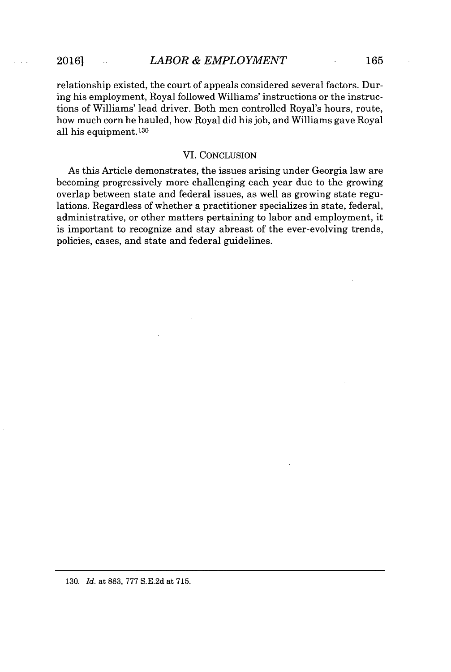relationship existed, the court of appeals considered several factors. During his employment, Royal followed Williams' instructions or the instructions of Williams' lead driver. Both men controlled Royal's hours, route, how much corn he hauled, how Royal did his **job,** and Williams gave Royal all his equipment. <sup>130</sup>

#### VI. **CONCLUSION**

As this Article demonstrates, the issues arising under Georgia law are becoming progressively more challenging each year due to the growing overlap between state and federal issues, as well as growing state regulations. Regardless of whether a practitioner specializes in state, federal, administrative, or other matters pertaining to labor and employment, it is important to recognize and stay abreast of the ever-evolving trends, policies, cases, and state and federal guidelines.